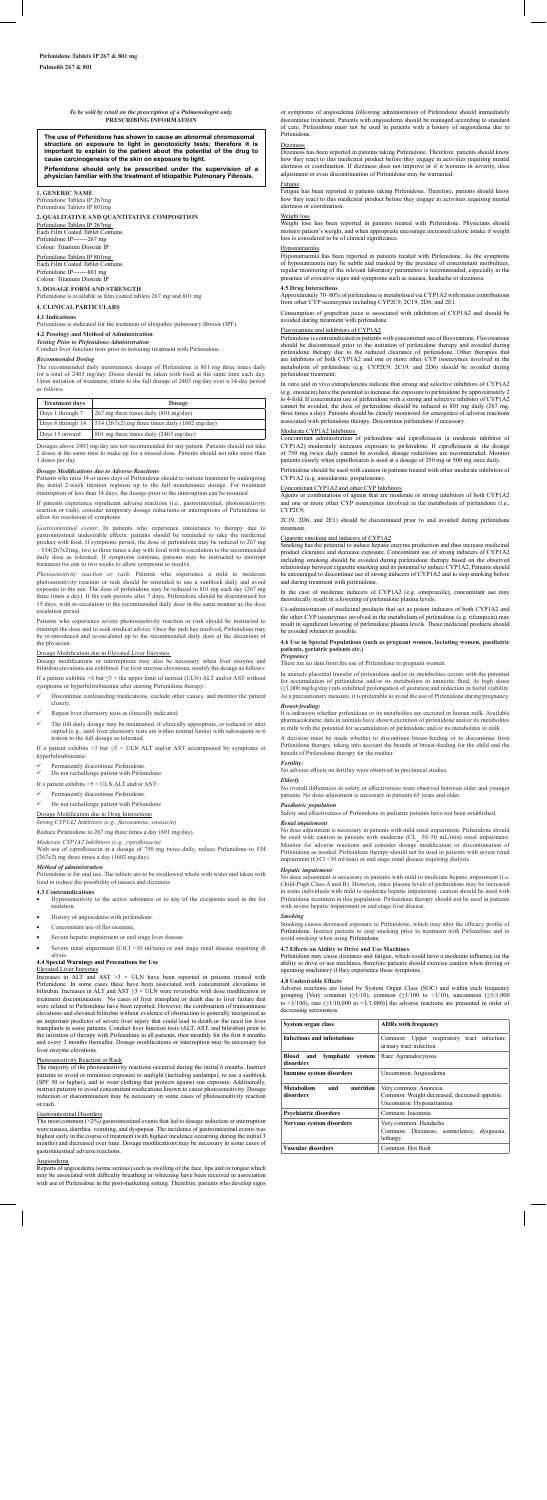# *To be sold by retail on the prescription of a Pulmonologist only.* **PRESCRIBING INFORMATION**

The use of Pirfenidone has shown to cause an abnormal chromosomal<br>structure on exposure to light in genotoxicity tests; therefore it is<br>important to explain to the patient about the potential of the drug to<br>cause carcinoge

## **1. GENERIC NAME**

Pirfenidone Tablets IP 267mg Pirfenidone Tablets IP 801mg

**2. QUALITATIVE AND QUANTITATIVE COMPOSITION** 

Pirfenidone IP----Colour: Titanium Dioxide IP

Pirfenidone Tablets IP 267mg Each Film Coated Tablet Contains Pirfenidone IP-------267 mg Colour: Titanium Dioxide IP

Pirfenidone Tablets IP 801mg Each Film Coated Tablet Contains

**3. DOSAGE FORM AND STRENGTH**

Pirfenidone is available as film coated tablets 267 mg and 801 mg. **4. CLINICAL PARTICULARS**

# **4.1 Indications**

Pirfenidone is indicated for the treatment of idiopathic pulmonary fibrosis (IPF).

# **4.2 Posology and Method of Administration** *Testing Prior to Pirfenidone Administration*

Conduct liver function tests prior to initiating treatment with Pirfenidone.

## *Recommended Dosing*

If patients experience significant adverse reactions (i.e., gastrointestinal, photosensitivity reaction or rash), consider temporary dosage reductions or interruptions of Pirfenidone to allow for resolution of symptoms.

The recommended daily maintenance dosage of Pirfenidone is 801 mg three times daily for a total of 2403 mg/day. Doses should be taken with food at the same time each day. Upon initiation of treatment, titrate to the full dosage of 2403 mg/day over a 14-day period as follows:

| <b>Treatment days</b> | Dosage                                         |  |
|-----------------------|------------------------------------------------|--|
| Days 1 through 7      | $267$ mg three times daily (801 mg/day)        |  |
| Days 8 through 14     | 534 (267x2) mg three times daily (1602 mg/day) |  |
| Days 15 onward        | 801 mg three times daily (2403 mg/day)         |  |

Dosages above 2403 mg/day are not recommended for any patient. Patients should not take 2 doses at the same time to make up for a missed dose. Patients should not take more than 3 doses per day.

*Photosensitivity reaction or rash:* Patients who experience a mild to moderate photosensitivity reaction or rash should be reminded to use a sunblock daily and avoid exposure to the sun. The dose of pirfenidone may be re three times a day). If the rash persists after 7 days, Pirfenidone should be discontinued for 15 days, with re-escalation to the recommended daily dose in the same manner as the dose escalation period.

### *Dosage Modifications due to Adverse Reactions*

Patients who miss 14 or more days of Pirfenidone should re-initiate treatment by undergoing the initial 2-week titration regimen up to the full maintenance dosage. For treatment interruption of less than 14 days, the dosage prior to the interruption can be resumed.

<u>Dosage Modification due to Elevated Liver Enzymes</u><br>Dosage modifications or interruptions may also be necessary when liver enzyme and<br>bilirubin elevations are exhibited. For liver enzyme elevations, modify the dosage as fo If a patient exhibits >3 but  $\leq$ 5  $\times$  the upper limit of normal (ULN) ALT and/or AST without symptoms or hyperbilirubinemia after starting Pirfenidone therapy:

If a patient exhibits >3 but  $\leq$ 5 × ULN ALT and/or AST accompanied by symptoms or hyperbilirubinemia:

## Permanently discontinue Pirfeni

*Gastrointestinal events*: In patients who experience intolerance to therapy due to gastrointestinal undesirable effects, patients should be reminded to take the medicinal product with food. If symptoms persist, the dose of pirfenidone may be reduced to 267 mg<br>– 534(267x2)mg, two to three times a day with food with re-escalation to the recommended<br>daily dose as tolerated. If symptoms continu treatment for one to two weeks to allow symptoms to resolve.

- • Hypersensitivity to the active substance or to any of the excipients used in the for mulation.
- History of angioedema with pirfenidone.
- Concomitant use of fluvoxamine.

Elevated Liver Enzymes<br>Increases in ALT and AST >3 × ULN have been reported in patients treated with Pirfenidone. In some cases these have been associated with concomitant elevations in bilirubin. Increases in ALT and AST  $\geq$ 3 × ULN were reversible with dose modification or treatment discontinuation. No cases of liver transplant or death due to liver failure that were related to Pirfenidone have been reported. However, the combination of transaminase elevations and elevated bilirubin without evidence of obstruction is generally recognized as an important predictor of severe liver injury that could lead to death or the need for liver transplants in some patients. Conduct liver function tests (ALT, AST, and bilirubin) prior to the initiation of therapy with Pirfenidone in all patients, then monthly for the first 6 months and every 3 months thereafter. Dosage modifications or interruption may be necessary for liver enzyme elevations.

Patients who experience severe photosensitivity reaction or rash should be instructed to interrupt the dose and to seek medical advice. Once the rash has resolved, Pirfenidone may be re-introduced and re-escalated up to the recommended daily dose at the discretion of the physician.

or symptoms of angioedema following administration of Pirfenidone should immediation discontinue treatment. Patients with angioedema should be managed according to standard of care. Pirfenidone must not be used in patients with a history of angioedema due to Pirfenidone.

### **Dizziness**

- Discontinue confounding medications, exclude other causes, and monitor the patient closely.
- Repeat liver chemistry tests as clinically indicated.
- The full daily dosage may be maintained, if clinically appropriate, or reduced or inter rupted (e.g., until liver chemistry tests are within normal limits) with subsequent re-ti tration to the full dosage as tolerated.

Dizziness has been reported in patients taking Pirfenidone. Therefore, patients should know<br>how they react to this medicinal product before they engage in activities requiring mental<br>alertness or coordination. If dizziness adjustment or even discontinuation of Pirfenidone may be warranted.

 Do not rechallenge patient with Pirfenidone.

If a patient exhibits  $>\!5\times$  ULN ALT and/or AST:

 Permanently discontinue Pirfenidone.

 Do not rechallenge patient with Pirfenidone

## Dosage Modification due to Drug Interactions

*Strong CYP1A2 Inhibitors (e.g., fluvoxamine, enoxacin)* 

## Reduce Pirfenidone to 267 mg three times a day (801 mg/day).

*Moderate CYP1A2 Inhibitors (e.g., ciprofloxacin)*<br>With use of ciprofloxacin at a dosage of 750 mg twice daily, reduce Pirfenidone to 534<br>(267x2) mg three times a day (1602 mg/day).

sumption of grapefruit juice is associated with inhibition of CYP1A2 and should be avoided during treatment with pirfenidone.

*Method of administration* Pirfenidone is for oral use. The tablets are to be swallowed whole with water and taken with food to reduce the possibility of nausea and dizziness

Pirfenidone is contraindicated in patients with concomitant use of fluvoxamine. Fluvox should be discontinued prior to the initiation of pirfenidone therapy and avoided during<br>pirfenidone therapy due to the reduced clearance of pirfenidone. Other therapies that<br>are inhibitors of both CYP1A2 and one or more o pirfenidone treatment.

## **4.3 Contraindications**

- • Severe hepatic impairment or end stage liver disease.
- Severe renal impairment (CrCl <30 ml/min) or end stage renal disease requiring di alysis.

### **4.4 Special Warnings and Precautions for Use**

## Elevated Liver Enzyme

## Photosensitivity Reaction or Rash

In animals placental transfer of pirfenidone and/or its metabolites occurs with the potential<br>for accumulation of pirfenidone and/or its metabolites in amniotic fluid. At high doses<br>(≥1,000 mg/kg/day) rats exhibited prolo As a precautionary measure, it is preferable to avoid the use of Pirfenidone during pregnancy.

The majority of the photosensitivity reactions occurred during the initial 6 months. Instruct patients to avoid or minimize exposure to sunlight (including sunlamps), to use a sunblock (SPF 50 or higher), and to wear clothing that protects against sun exposure. Additionally, instruct patients to avoid concomitant medications known to cause photosensitivity. Dosage n or discontinuation may be necessary in some cases of photosensitivity reaction or rash.

### Gastrointestinal Disorders

No dose adjustment is necessary in patients with mild renal impairment. Pirfenidone should<br>be used with caution in patients with moderate (CL<sub>e</sub> 30–50 mL/min) renal impairment.<br>Monitor for adverse reactions and consider do Pirfenidone as needed. Pirfenidone therapy should not be used in patients with severe renal impairment (CrCl <30 ml/min) or end stage renal disease requiring dialysis.

The most common (>2%) gastrointestinal events that led to dosage reduction or interruption were nausea, diarrhea, vomiting, and dyspepsia. The incidence of gastrointestinal events was highest early in the course of treatment (with highest incidence occurring during the initial 3 mths) and decreased over time. Dosage modifications may be necessary in some cases of gastrointestinal adverse reactions.

No dose adjustment is necessary in patients with mild to moderate hepatic impairment (i.e. Child-Pugh Class A and B). However, since plasma levels of pirfenidone may be increased<br>in some individuals with mild to moderate hepatic impairment, caution should be used with<br>Pirfenidone treatment in this population. Pi with severe hepatic impairment or end stage liver disease

### Angioedema

Reports of angioedema (some serious) such as swelling of the face, lips and/or tongue which<br>may be associated with difficulty breathing or wheezing have been received in association<br>with use of Pirfenidone in the post-mark

## Fatigue

Fatigue has been reported in patients taking Pirfenidone. Therefore, patients should know how they react to this medicinal product before they engage in activities requiring mental alertness or coordination.

### Weight loss

Weight loss has been reported in patients treated with Pirfenidone. Physicians should<br>monitor patient's weight, and when appropriate encourage increased caloric intake if weight<br>loss is considered to be of clinical signifi

### Hyponatraemia

Hyponatraemia has been reported in patients treated with Pirfenidone. As the symptoms of hyponatraemia may be subtle and masked by the presence of concomitant morbidities,

regular monitoring of the relevant laboratory parameters is recommended, especially in the presence of evocative signs and symptoms such as nausea, headache or dizziness.

### **4.5 Drug Interactions**

Approximately 70–80% of pirfenidone is metabolised via CYP1A2 with minor contributions from other CYP isoenzymes including CYP2C9, 2C19, 2D6, and 2E1.

### Fluvoxamine and inhibitors of CYP1A2

In vitro and in vivo extrapolations indicate that strong and selective inhibitors of CYP1A2 (e.g. enoxacin) have the potential to increase the exposure to pirfenidone by approximately 2 to 4-fold. If concomitant use of pirfenidone with a strong and selective inhibitor of CYP1A2 cannot be avoided, the dose of pir associated with pirfenidone therapy. Discontinue pirfenidone if necessary.

## Moderate CYP1A2 Inhibitors

Concomitant administration of pirfenidone and ciprofloxacin (a moderate inhibitor of CYP1A2) moderately increases exposure to pirfenidone. If ciprofloxacin at the dosage of 750 mg twice daily cannot be avoided, dosage reductions are recommended*.* Monitor patients closely when ciprofloxacin is used at a dosage of 250 mg or 500 mg once daily.

Pirfenidone should be used with caution in patients treated with other moderate inhibitors of CYP1A2 (e.g. amiodarone, propafenone).

## Concomitant CYP1A2 and other CYP Inhibitors

Agents or combinations of agents that are moderate or strong inhibitors of both CYP1A2 and one or more other CYP isoenzymes involved in the metabolism of pirfenidone (i.e., CYP2C9,

2C19, 2D6, and 2E1) should be discontinued prior to and avoided during pirfenidone treatment.

## Cigarette smoking and inducers of CYP1A2

Smoking has the potential to induce hepatic enzyme production and thus increase medicinal product clearance and decrease exposure. Concomitant use of strong inducers of CYP1A2<br>including smoking should be avoided during pirfenidone therapy based on the observed<br>relationship between cigarette smoking and its pote and during treatment with pirfenidone.

In the case of moderate inducers of CYP1A2 (e.g. omeprazole), concomitant use may theoretically result in a lowering of pirfenidone plasma levels.

Co-administration of medicinal products that act as potent inducers of both CYP1A2 and the other CYP isoenzymes involved in the metabolism of pirfenidone (e.g. rifampicin) may result in significant lowering of pirfenidone plasma levels. These medicinal products should be avoided whenever possible.

**4.6 Use in Special Populations (such as pregnant women, lactating women, paediatric patients, geriatric patients etc.)** *Pregnancy*

There are no data from the use of Pirfenidone in pregnant women.

*Breast-feeding:* It is unknown whether pirfenidone or its metabolites are excreted in human milk. Available pharmacokinetic data in animals have shown excretion of pirfenidone and/or its metabolites in milk with the potential for accumulation of pirfenidone and/or its metabolites in milk.

A decision must be made whether to discontinue breast-feeding or to discontinue from<br>Pirfenidone therapy, taking into account the benefit of breast-feeding for the child and the<br>benefit of Pirfenidone therapy for the mothe

## *Fertility:*

No adverse effects on fertility were observed in preclinical studies.

## *Elderly*

No overall differences in safety or effectiveness were observed between older and younger patients. No dose adjustment is necessary in patients 65 years and older.

*Paediatric population* Safety and effectiveness of Pirfenidone in pediatric patients have not been established.

## *Renal impairment*

## *Hepatic impairment*

## *Smoking*

Smoking causes decreased exposure to Pirfenidone, which may alter the efficacy profile of Pirfenidone. Instruct patients to stop smoking prior to treatment with Pirfenidone and to avoid smoking when using Pirfenidone

### **4.7 Effects on Ability to Drive and Use Machines**

Pirfenidone may cause dizziness and fatigue, which could have a moderate influence on the ability to drive or use machines, therefore patients should exercise caution when driving or operating machinery if they experience these symptoms.

## **4.8 Undesirable Effects**

Adverse reactions are listed by System Organ Class (SOC) and within each frequency grouping [Very common ( $\geq$ 1/10), common ( $\geq$ 1/100 to <1/10), uncommon ( $\geq$ 1/1,000 to <1/1,000)] the adverse reactions are presented in order of decreasing seriousness.

| System organ class                                 | <b>ADRs with frequency</b>                                                                       |
|----------------------------------------------------|--------------------------------------------------------------------------------------------------|
| <b>Infections and infestations</b>                 | Common: Upper respiratory tract infection;<br>urinary tract infection                            |
| Blood<br>lymphatic<br>system<br>and<br>disorders   | Rare: Agranulocytosis                                                                            |
| <b>Immune system disorders</b>                     | Uncommon: Angioedema                                                                             |
| <b>Metabolism</b><br>and<br>nutrition<br>disorders | Very common: Anorexia<br>Common: Weight decreased; decreased appetite<br>Uncommon: Hyponatraemia |
| <b>Psychiatric disorders</b>                       | Common: Insomnia                                                                                 |
| <b>Nervous system disorders</b>                    | Very common: Headache<br>Common: Dizziness, somnolence, dysgeusia,<br>lethargy                   |
| Vascular disorders                                 | Common: Hot flush                                                                                |

**Pirfenidone should only be prescribed under the supervision of a physician familiar with the treatment of Idiopathic Pulmonary Fibrosis.**